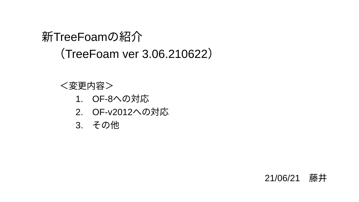# 新TreeFoamの紹介 (TreeFoam ver 3.06.210622)

## <変更内容>

- 1. OF-8への対応
- 2. OF-v2012への対応
- 3. その他

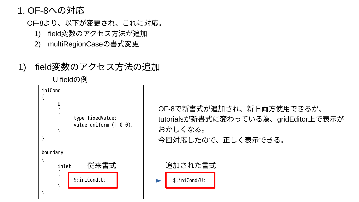## 1. OF-8への対応

OF-8より、以下が変更され、これに対応。

- 1) field変数のアクセス方法が追加
- 2) multiRegionCaseの書式変更
- 1) field変数のアクセス方法の追加

U fieldの例



OF-8で新書式が追加され、新旧両方使用できるが、 tutorialsが新書式に変わっている為、gridEditor上で表示が 今回対応したので、正しく表示できる。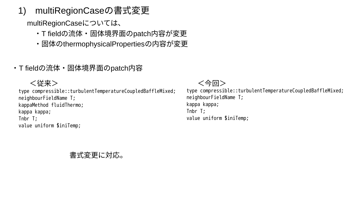1) multiRegionCaseの書式変更

multiRegionCaseについては、

- ・T fieldの流体・固体境界面のpatch内容が変更
- ・固体のthermophysicalPropertiesの内容が変更
- ・T fieldの流体・固体境界面のpatch内容

type compressible::turbulentTemperatureCoupledBaffleMixed; neighbourFieldName T; kappaMethod fluidThermo; kappa kappa; Tnbr T; value uniform \$iniTemp;

#### <従来> インディー しょうしゃ しょうしゃ しょうしゃく 今回>

type compressible::turbulentTemperatureCoupledBaffleMixed; neighbourFieldName T; kappa kappa; Tnbr T; value uniform \$iniTemp;

#### 書式変更に対応。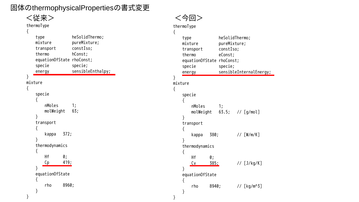固体のthermophysicalPropertiesの書式変更

| type         |                 |       | heSolidThermo;                       |
|--------------|-----------------|-------|--------------------------------------|
| mixture      |                 |       | pureMixture;                         |
| transport    |                 |       | constIso;                            |
| thermo       |                 |       | hConst;                              |
| specie       |                 |       | equationOfState rhoConst;<br>specie; |
| energy       |                 |       | sensibleEnthalpy;                    |
|              |                 |       |                                      |
| mixture<br>{ |                 |       |                                      |
|              |                 |       |                                      |
| specie<br>{  |                 |       |                                      |
|              | nMoles          |       | 1;                                   |
|              | molWeight       |       | 63;                                  |
| }            |                 |       |                                      |
| transport    |                 |       |                                      |
| {            |                 |       |                                      |
| }            | kappa           | 372;  |                                      |
|              | thermodynamics  |       |                                      |
| {            |                 |       |                                      |
|              |                 | 0;    |                                      |
| Hf           |                 |       |                                      |
| Сp           |                 | 419;  |                                      |
| }            |                 |       |                                      |
|              | equation0fState |       |                                      |
| {<br>rho     |                 | 8960; |                                      |

<従来> <今回>

#### thermoType {

}

| {       |        |                 |            |                            |                         |
|---------|--------|-----------------|------------|----------------------------|-------------------------|
|         | type   |                 |            | heSolidThermo;             |                         |
|         |        | mixture         |            | pureMixture;               |                         |
|         |        | transport       |            | constIso;                  |                         |
|         | thermo | equationOfState |            | eConst;<br>rhoConst;       |                         |
|         | specie |                 |            | specie;                    |                         |
|         | energy |                 |            |                            | sensibleInternalEnergy; |
| ł       |        |                 |            |                            |                         |
| mixture |        |                 |            |                            |                         |
| {       | specie |                 |            |                            |                         |
|         | {      |                 |            |                            |                         |
|         |        | nMoles          |            | 1;                         |                         |
|         |        |                 |            | molWeight 63.5; // [g/mol] |                         |
|         | }      |                 |            |                            |                         |
|         | {      | transport       |            |                            |                         |
|         |        | kappa           | 380;       |                            | $//$ [W/m/K]            |
|         | ł      |                 |            |                            |                         |
|         |        | thermodynamics  |            |                            |                         |
|         | {      |                 |            |                            |                         |
|         |        | Нf<br>Cv        | 0;<br>385: |                            | // [J/kg/K]             |
|         | }      |                 |            |                            |                         |
|         |        | equationOfState |            |                            |                         |
|         | {      |                 |            |                            |                         |
|         |        | rho             | 8940;      |                            | // [kg/m^3]             |
| ļ       | }      |                 |            |                            |                         |
|         |        |                 |            |                            |                         |